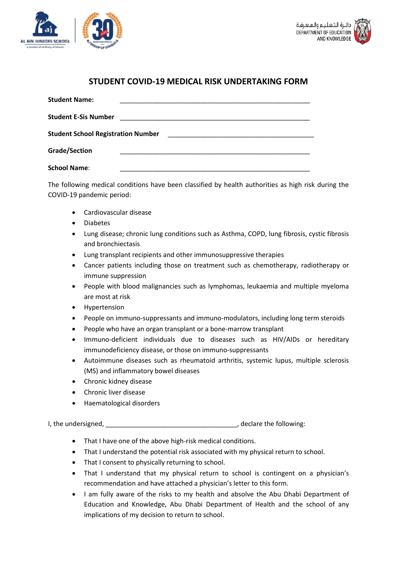



## **STUDENT COVID-19 MEDICAL RISK UNDERTAKING FORM**

| <b>Student Name:</b>                      |                                                                                                                      |
|-------------------------------------------|----------------------------------------------------------------------------------------------------------------------|
| <b>Student E-Sis Number</b>               |                                                                                                                      |
| <b>Student School Registration Number</b> | <u> 1980 - Jan Barbara, manazarta bashkar a shekara 1980 - André Santa Barbara, manazarta bashkar a shekara 1980</u> |
| Grade/Section                             |                                                                                                                      |
| <b>School Name:</b>                       |                                                                                                                      |

The following medical conditions have been classified by health authorities as high risk during the COVID-19 pandemic period:

- Cardiovascular disease
- Diabetes
- Lung disease; chronic lung conditions such as Asthma, COPD, lung fibrosis, cystic fibrosis and bronchiectasis
- Lung transplant recipients and other immunosuppressive therapies
- Cancer patients including those on treatment such as chemotherapy, radiotherapy or immune suppression
- People with blood malignancies such as lymphomas, leukaemia and multiple myeloma are most at risk
- **Hypertension**
- People on immuno-suppressants and immuno-modulators, including long term steroids
- People who have an organ transplant or a bone-marrow transplant
- Immuno-deficient individuals due to diseases such as HIV/AIDs or hereditary immunodeficiency disease, or those on immuno-suppressants
- Autoimmune diseases such as rheumatoid arthritis, systemic lupus, multiple sclerosis (MS) and inflammatory bowel diseases
- Chronic kidney disease
- Chronic liver disease
- Haematological disorders

I, the undersigned, https://www.factbook.com/index.com/index.com/index.com/index.com/index.com/index.com/index.

- That I have one of the above high-risk medical conditions.
- That I understand the potential risk associated with my physical return to school.
- That I consent to physically returning to school.
- That I understand that my physical return to school is contingent on a physician's recommendation and have attached a physician's letter to this form.
- I am fully aware of the risks to my health and absolve the Abu Dhabi Department of Education and Knowledge, Abu Dhabi Department of Health and the school of any implications of my decision to return to school.